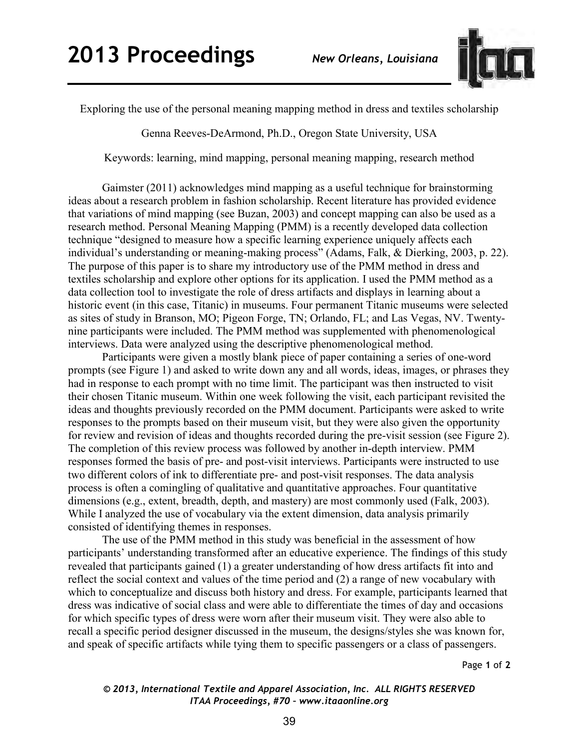

Exploring the use of the personal meaning mapping method in dress and textiles scholarship

Genna Reeves-DeArmond, Ph.D., Oregon State University, USA

Keywords: learning, mind mapping, personal meaning mapping, research method

Gaimster (2011) acknowledges mind mapping as a useful technique for brainstorming ideas about a research problem in fashion scholarship. Recent literature has provided evidence that variations of mind mapping (see Buzan, 2003) and concept mapping can also be used as a research method. Personal Meaning Mapping (PMM) is a recently developed data collection technique "designed to measure how a specific learning experience uniquely affects each individual's understanding or meaning-making process" (Adams, Falk, & Dierking, 2003, p. 22). The purpose of this paper is to share my introductory use of the PMM method in dress and textiles scholarship and explore other options for its application. I used the PMM method as a data collection tool to investigate the role of dress artifacts and displays in learning about a historic event (in this case, Titanic) in museums. Four permanent Titanic museums were selected as sites of study in Branson, MO; Pigeon Forge, TN; Orlando, FL; and Las Vegas, NV. Twentynine participants were included. The PMM method was supplemented with phenomenological interviews. Data were analyzed using the descriptive phenomenological method.

 Participants were given a mostly blank piece of paper containing a series of one-word prompts (see Figure 1) and asked to write down any and all words, ideas, images, or phrases they had in response to each prompt with no time limit. The participant was then instructed to visit their chosen Titanic museum. Within one week following the visit, each participant revisited the ideas and thoughts previously recorded on the PMM document. Participants were asked to write responses to the prompts based on their museum visit, but they were also given the opportunity for review and revision of ideas and thoughts recorded during the pre-visit session (see Figure 2). The completion of this review process was followed by another in-depth interview. PMM responses formed the basis of pre- and post-visit interviews. Participants were instructed to use two different colors of ink to differentiate pre- and post-visit responses. The data analysis process is often a comingling of qualitative and quantitative approaches. Four quantitative dimensions (e.g., extent, breadth, depth, and mastery) are most commonly used (Falk, 2003). While I analyzed the use of vocabulary via the extent dimension, data analysis primarily consisted of identifying themes in responses.

 The use of the PMM method in this study was beneficial in the assessment of how participants' understanding transformed after an educative experience. The findings of this study revealed that participants gained (1) a greater understanding of how dress artifacts fit into and reflect the social context and values of the time period and (2) a range of new vocabulary with which to conceptualize and discuss both history and dress. For example, participants learned that dress was indicative of social class and were able to differentiate the times of day and occasions for which specific types of dress were worn after their museum visit. They were also able to recall a specific period designer discussed in the museum, the designs/styles she was known for, and speak of specific artifacts while tying them to specific passengers or a class of passengers.

Page **1** of **2** 

## *© 2013, International Textile and Apparel Association, Inc. ALL RIGHTS RESERVED ITAA Proceedings, #70 – www.itaaonline.org*